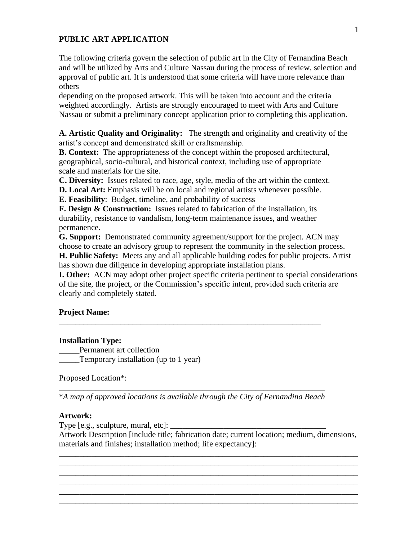## **PUBLIC ART APPLICATION**

The following criteria govern the selection of public art in the City of Fernandina Beach and will be utilized by Arts and Culture Nassau during the process of review, selection and approval of public art. It is understood that some criteria will have more relevance than others

depending on the proposed artwork. This will be taken into account and the criteria weighted accordingly. Artists are strongly encouraged to meet with Arts and Culture Nassau or submit a preliminary concept application prior to completing this application.

**A. Artistic Quality and Originality:** The strength and originality and creativity of the artist's concept and demonstrated skill or craftsmanship.

**B. Context:** The appropriateness of the concept within the proposed architectural, geographical, socio-cultural, and historical context, including use of appropriate scale and materials for the site.

**C. Diversity:** Issues related to race, age, style, media of the art within the context.

**D. Local Art:** Emphasis will be on local and regional artists whenever possible.

**E. Feasibility**: Budget, timeline, and probability of success

**F. Design & Construction:** Issues related to fabrication of the installation, its durability, resistance to vandalism, long-term maintenance issues, and weather permanence.

**G. Support:** Demonstrated community agreement/support for the project. ACN may choose to create an advisory group to represent the community in the selection process. **H. Public Safety:** Meets any and all applicable building codes for public projects. Artist has shown due diligence in developing appropriate installation plans.

**I. Other:** ACN may adopt other project specific criteria pertinent to special considerations of the site, the project, or the Commission's specific intent, provided such criteria are clearly and completely stated.

## **Project Name:**

## **Installation Type:**

Permanent art collection

\_\_\_\_\_Temporary installation (up to 1 year)

Proposed Location\*:

\_\_\_\_\_\_\_\_\_\_\_\_\_\_\_\_\_\_\_\_\_\_\_\_\_\_\_\_\_\_\_\_\_\_\_\_\_\_\_\_\_\_\_\_\_\_\_\_\_\_\_\_\_\_\_\_\_\_\_\_\_\_\_\_\_ \**A map of approved locations is available through the City of Fernandina Beach* 

\_\_\_\_\_\_\_\_\_\_\_\_\_\_\_\_\_\_\_\_\_\_\_\_\_\_\_\_\_\_\_\_\_\_\_\_\_\_\_\_\_\_\_\_\_\_\_\_\_\_\_\_\_\_\_\_\_\_\_\_\_\_\_\_

## **Artwork:**

Type  $[e.g., \text{sculpture}, \text{mural}, \text{etc}]$ :

Artwork Description [include title; fabrication date; current location; medium, dimensions, materials and finishes; installation method; life expectancy]:

\_\_\_\_\_\_\_\_\_\_\_\_\_\_\_\_\_\_\_\_\_\_\_\_\_\_\_\_\_\_\_\_\_\_\_\_\_\_\_\_\_\_\_\_\_\_\_\_\_\_\_\_\_\_\_\_\_\_\_\_\_\_\_\_\_\_\_\_\_\_\_\_\_

\_\_\_\_\_\_\_\_\_\_\_\_\_\_\_\_\_\_\_\_\_\_\_\_\_\_\_\_\_\_\_\_\_\_\_\_\_\_\_\_\_\_\_\_\_\_\_\_\_\_\_\_\_\_\_\_\_\_\_\_\_\_\_\_\_\_\_\_\_\_\_\_\_ \_\_\_\_\_\_\_\_\_\_\_\_\_\_\_\_\_\_\_\_\_\_\_\_\_\_\_\_\_\_\_\_\_\_\_\_\_\_\_\_\_\_\_\_\_\_\_\_\_\_\_\_\_\_\_\_\_\_\_\_\_\_\_\_\_\_\_\_\_\_\_\_\_ \_\_\_\_\_\_\_\_\_\_\_\_\_\_\_\_\_\_\_\_\_\_\_\_\_\_\_\_\_\_\_\_\_\_\_\_\_\_\_\_\_\_\_\_\_\_\_\_\_\_\_\_\_\_\_\_\_\_\_\_\_\_\_\_\_\_\_\_\_\_\_\_\_ \_\_\_\_\_\_\_\_\_\_\_\_\_\_\_\_\_\_\_\_\_\_\_\_\_\_\_\_\_\_\_\_\_\_\_\_\_\_\_\_\_\_\_\_\_\_\_\_\_\_\_\_\_\_\_\_\_\_\_\_\_\_\_\_\_\_\_\_\_\_\_\_\_